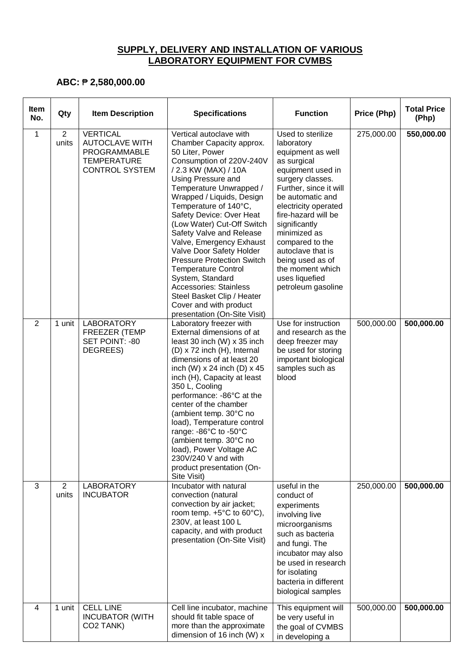## **SUPPLY, DELIVERY AND INSTALLATION OF VARIOUS LABORATORY EQUIPMENT FOR CVMBS**

## **ABC:** ₱ **2,580,000.00**

| <b>Item</b><br>No. | Qty                     | <b>Item Description</b>                                                                                 | <b>Specifications</b>                                                                                                                                                                                                                                                                                                                                                                                                                                                                                                                                                                    | <b>Function</b>                                                                                                                                                                                                                                                                                                                                                    | Price (Php) | <b>Total Price</b><br>(Php) |
|--------------------|-------------------------|---------------------------------------------------------------------------------------------------------|------------------------------------------------------------------------------------------------------------------------------------------------------------------------------------------------------------------------------------------------------------------------------------------------------------------------------------------------------------------------------------------------------------------------------------------------------------------------------------------------------------------------------------------------------------------------------------------|--------------------------------------------------------------------------------------------------------------------------------------------------------------------------------------------------------------------------------------------------------------------------------------------------------------------------------------------------------------------|-------------|-----------------------------|
| $\mathbf 1$        | $\overline{c}$<br>units | <b>VERTICAL</b><br><b>AUTOCLAVE WITH</b><br>PROGRAMMABLE<br><b>TEMPERATURE</b><br><b>CONTROL SYSTEM</b> | Vertical autoclave with<br>Chamber Capacity approx.<br>50 Liter, Power<br>Consumption of 220V-240V<br>/ 2.3 KW (MAX) / 10A<br>Using Pressure and<br>Temperature Unwrapped /<br>Wrapped / Liquids, Design<br>Temperature of 140°C,<br>Safety Device: Over Heat<br>(Low Water) Cut-Off Switch<br>Safety Valve and Release<br>Valve, Emergency Exhaust<br>Valve Door Safety Holder<br><b>Pressure Protection Switch</b><br><b>Temperature Control</b><br>System, Standard<br>Accessories: Stainless<br>Steel Basket Clip / Heater<br>Cover and with product<br>presentation (On-Site Visit) | Used to sterilize<br>laboratory<br>equipment as well<br>as surgical<br>equipment used in<br>surgery classes.<br>Further, since it will<br>be automatic and<br>electricity operated<br>fire-hazard will be<br>significantly<br>minimized as<br>compared to the<br>autoclave that is<br>being used as of<br>the moment which<br>uses liquefied<br>petroleum gasoline | 275,000.00  | 550,000.00                  |
| 2                  | 1 unit                  | <b>LABORATORY</b><br>FREEZER (TEMP<br>SET POINT: -80<br>DEGREES)                                        | Laboratory freezer with<br>External dimensions of at<br>least 30 inch (W) x 35 inch<br>(D) x 72 inch (H), Internal<br>dimensions of at least 20<br>inch (W) $x$ 24 inch (D) $x$ 45<br>inch (H), Capacity at least<br>350 L, Cooling<br>performance: -86°C at the<br>center of the chamber<br>(ambient temp. 30°C no<br>load), Temperature control<br>range: -86°C to -50°C<br>(ambient temp. 30°C no<br>load), Power Voltage AC<br>230V/240 V and with<br>product presentation (On-<br>Site Visit)                                                                                       | Use for instruction<br>and research as the<br>deep freezer may<br>be used for storing<br>important biological<br>samples such as<br>blood                                                                                                                                                                                                                          | 500,000.00  | 500,000.00                  |
| 3                  | $\overline{2}$<br>units | <b>LABORATORY</b><br><b>INCUBATOR</b>                                                                   | Incubator with natural<br>convection (natural<br>convection by air jacket;<br>room temp. $+5^{\circ}$ C to 60 $^{\circ}$ C),<br>230V, at least 100 L<br>capacity, and with product<br>presentation (On-Site Visit)                                                                                                                                                                                                                                                                                                                                                                       | useful in the<br>conduct of<br>experiments<br>involving live<br>microorganisms<br>such as bacteria<br>and fungi. The<br>incubator may also<br>be used in research<br>for isolating<br>bacteria in different<br>biological samples                                                                                                                                  | 250,000.00  | 500,000.00                  |
| 4                  | 1 unit                  | <b>CELL LINE</b><br><b>INCUBATOR (WITH</b><br>CO <sub>2</sub> TANK)                                     | Cell line incubator, machine<br>should fit table space of<br>more than the approximate<br>dimension of 16 inch (W) x                                                                                                                                                                                                                                                                                                                                                                                                                                                                     | This equipment will<br>be very useful in<br>the goal of CVMBS<br>in developing a                                                                                                                                                                                                                                                                                   | 500,000.00  | 500,000.00                  |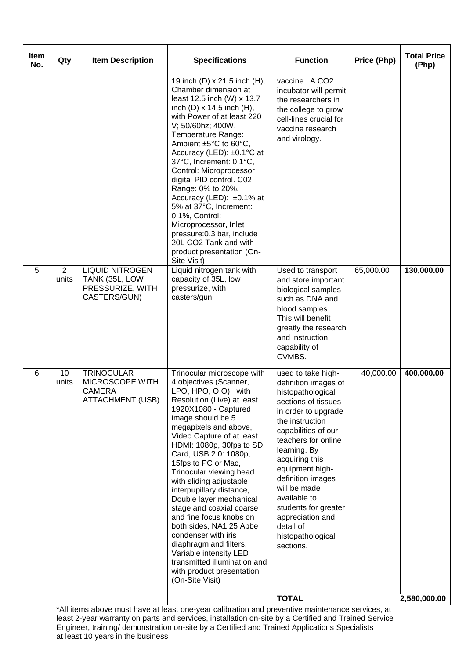| <b>Item</b><br>No. | Qty                     | <b>Item Description</b>                                                          | <b>Specifications</b>                                                                                                                                                                                                                                                                                                                                                                                                                                                                                                                                                                                                                               | <b>Function</b>                                                                                                                                                                                                                                                                                                                                                                     | Price (Php) | <b>Total Price</b><br>(Php) |
|--------------------|-------------------------|----------------------------------------------------------------------------------|-----------------------------------------------------------------------------------------------------------------------------------------------------------------------------------------------------------------------------------------------------------------------------------------------------------------------------------------------------------------------------------------------------------------------------------------------------------------------------------------------------------------------------------------------------------------------------------------------------------------------------------------------------|-------------------------------------------------------------------------------------------------------------------------------------------------------------------------------------------------------------------------------------------------------------------------------------------------------------------------------------------------------------------------------------|-------------|-----------------------------|
|                    |                         |                                                                                  | 19 inch (D) x 21.5 inch (H),<br>Chamber dimension at<br>least 12.5 inch (W) x 13.7<br>inch $(D) \times 14.5$ inch $(H)$ ,<br>with Power of at least 220<br>V; 50/60hz; 400W.<br>Temperature Range:<br>Ambient ±5°C to 60°C,<br>Accuracy (LED): ±0.1°C at<br>37°C, Increment: 0.1°C,<br>Control: Microprocessor<br>digital PID control. C02<br>Range: 0% to 20%,<br>Accuracy (LED): ±0.1% at<br>5% at 37°C, Increment:<br>0.1%, Control:<br>Microprocessor, Inlet<br>pressure: 0.3 bar, include<br>20L CO2 Tank and with<br>product presentation (On-<br>Site Visit)                                                                                 | vaccine. A CO2<br>incubator will permit<br>the researchers in<br>the college to grow<br>cell-lines crucial for<br>vaccine research<br>and virology.                                                                                                                                                                                                                                 |             |                             |
| 5                  | $\overline{2}$<br>units | <b>LIQUID NITROGEN</b><br>TANK (35L, LOW<br>PRESSURIZE, WITH<br>CASTERS/GUN)     | Liquid nitrogen tank with<br>capacity of 35L, low<br>pressurize, with<br>casters/gun                                                                                                                                                                                                                                                                                                                                                                                                                                                                                                                                                                | Used to transport<br>and store important<br>biological samples<br>such as DNA and<br>blood samples.<br>This will benefit<br>greatly the research<br>and instruction<br>capability of<br>CVMBS.                                                                                                                                                                                      | 65,000.00   | 130,000.00                  |
| 6                  | 10<br>units             | <b>TRINOCULAR</b><br>MICROSCOPE WITH<br><b>CAMERA</b><br><b>ATTACHMENT (USB)</b> | Trinocular microscope with<br>4 objectives (Scanner,<br>LPO, HPO, OIO), with<br>Resolution (Live) at least<br>1920X1080 - Captured<br>image should be 5<br>megapixels and above,<br>Video Capture of at least<br>HDMI: 1080p, 30fps to SD<br>Card, USB 2.0: 1080p,<br>15fps to PC or Mac,<br>Trinocular viewing head<br>with sliding adjustable<br>interpupillary distance,<br>Double layer mechanical<br>stage and coaxial coarse<br>and fine focus knobs on<br>both sides, NA1.25 Abbe<br>condenser with iris<br>diaphragm and filters,<br>Variable intensity LED<br>transmitted illumination and<br>with product presentation<br>(On-Site Visit) | used to take high-<br>definition images of<br>histopathological<br>sections of tissues<br>in order to upgrade<br>the instruction<br>capabilities of our<br>teachers for online<br>learning. By<br>acquiring this<br>equipment high-<br>definition images<br>will be made<br>available to<br>students for greater<br>appreciation and<br>detail of<br>histopathological<br>sections. | 40,000.00   | 400,000.00                  |
|                    |                         |                                                                                  |                                                                                                                                                                                                                                                                                                                                                                                                                                                                                                                                                                                                                                                     | <b>TOTAL</b>                                                                                                                                                                                                                                                                                                                                                                        |             | 2,580,000.00                |

\*All items above must have at least one-year calibration and preventive maintenance services, at least 2-year warranty on parts and services, installation on-site by a Certified and Trained Service Engineer, training/ demonstration on-site by a Certified and Trained Applications Specialists at least 10 years in the business